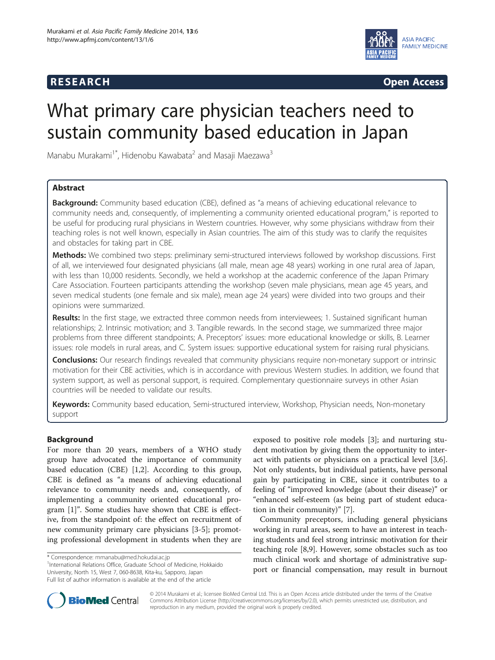## **RESEARCH CHINESEARCH CHINESEARCH CHINESE**



# What primary care physician teachers need to sustain community based education in Japan

Manabu Murakami<sup>1\*</sup>, Hidenobu Kawabata<sup>2</sup> and Masaji Maezawa<sup>3</sup>

## Abstract

**Background:** Community based education (CBE), defined as "a means of achieving educational relevance to community needs and, consequently, of implementing a community oriented educational program," is reported to be useful for producing rural physicians in Western countries. However, why some physicians withdraw from their teaching roles is not well known, especially in Asian countries. The aim of this study was to clarify the requisites and obstacles for taking part in CBE.

Methods: We combined two steps: preliminary semi-structured interviews followed by workshop discussions. First of all, we interviewed four designated physicians (all male, mean age 48 years) working in one rural area of Japan, with less than 10,000 residents. Secondly, we held a workshop at the academic conference of the Japan Primary Care Association. Fourteen participants attending the workshop (seven male physicians, mean age 45 years, and seven medical students (one female and six male), mean age 24 years) were divided into two groups and their opinions were summarized.

Results: In the first stage, we extracted three common needs from interviewees; 1. Sustained significant human relationships; 2. Intrinsic motivation; and 3. Tangible rewards. In the second stage, we summarized three major problems from three different standpoints; A. Preceptors' issues: more educational knowledge or skills, B. Learner issues: role models in rural areas, and C. System issues: supportive educational system for raising rural physicians.

**Conclusions:** Our research findings revealed that community physicians require non-monetary support or intrinsic motivation for their CBE activities, which is in accordance with previous Western studies. In addition, we found that system support, as well as personal support, is required. Complementary questionnaire surveys in other Asian countries will be needed to validate our results.

Keywords: Community based education, Semi-structured interview, Workshop, Physician needs, Non-monetary support

## Background

For more than 20 years, members of a WHO study group have advocated the importance of community based education (CBE) [\[1,2\]](#page-4-0). According to this group, CBE is defined as "a means of achieving educational relevance to community needs and, consequently, of implementing a community oriented educational program [[1\]](#page-4-0)". Some studies have shown that CBE is effective, from the standpoint of: the effect on recruitment of new community primary care physicians [\[3-5](#page-4-0)]; promoting professional development in students when they are

<sup>1</sup>International Relations Office, Graduate School of Medicine, Hokkaido University, North 15, West 7, 060-8638, Kita-ku, Sapporo, Japan Full list of author information is available at the end of the article

exposed to positive role models [[3\]](#page-4-0); and nurturing student motivation by giving them the opportunity to interact with patients or physicians on a practical level [\[3,6](#page-4-0)]. Not only students, but individual patients, have personal gain by participating in CBE, since it contributes to a feeling of "improved knowledge (about their disease)" or "enhanced self-esteem (as being part of student education in their community)" [\[7](#page-4-0)].

Community preceptors, including general physicians working in rural areas, seem to have an interest in teaching students and feel strong intrinsic motivation for their teaching role [[8,9\]](#page-4-0). However, some obstacles such as too much clinical work and shortage of administrative support or financial compensation, may result in burnout



© 2014 Murakami et al.; licensee BioMed Central Ltd. This is an Open Access article distributed under the terms of the Creative Commons Attribution License [\(http://creativecommons.org/licenses/by/2.0\)](http://creativecommons.org/licenses/by/2.0), which permits unrestricted use, distribution, and reproduction in any medium, provided the original work is properly credited.

<sup>\*</sup> Correspondence: [mmanabu@med.hokudai.ac.jp](mailto:mmanabu@med.hokudai.ac.jp) <sup>1</sup>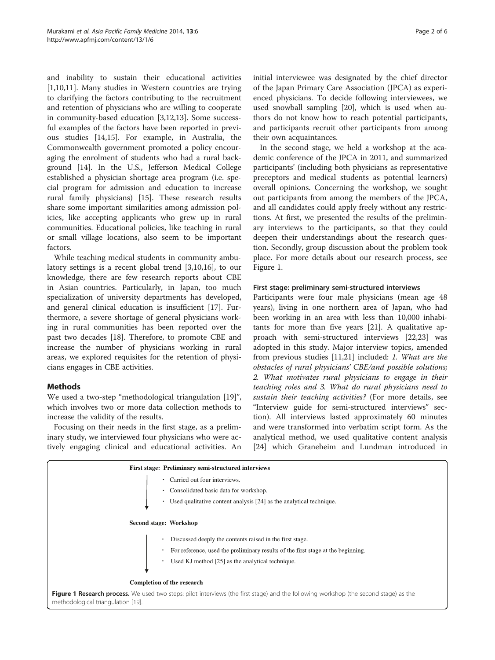and inability to sustain their educational activities [[1,10,11\]](#page-4-0). Many studies in Western countries are trying to clarifying the factors contributing to the recruitment and retention of physicians who are willing to cooperate in community-based education [[3](#page-4-0),[12](#page-4-0),[13](#page-4-0)]. Some successful examples of the factors have been reported in previous studies [[14,](#page-4-0)[15\]](#page-5-0). For example, in Australia, the Commonwealth government promoted a policy encouraging the enrolment of students who had a rural background [\[14\]](#page-4-0). In the U.S., Jefferson Medical College established a physician shortage area program (i.e. special program for admission and education to increase rural family physicians) [[15\]](#page-5-0). These research results share some important similarities among admission policies, like accepting applicants who grew up in rural communities. Educational policies, like teaching in rural or small village locations, also seem to be important factors.

While teaching medical students in community ambulatory settings is a recent global trend [[3,10,](#page-4-0)[16\]](#page-5-0), to our knowledge, there are few research reports about CBE in Asian countries. Particularly, in Japan, too much specialization of university departments has developed, and general clinical education is insufficient [\[17\]](#page-5-0). Furthermore, a severe shortage of general physicians working in rural communities has been reported over the past two decades [[18\]](#page-5-0). Therefore, to promote CBE and increase the number of physicians working in rural areas, we explored requisites for the retention of physicians engages in CBE activities.

## Methods

We used a two-step "methodological triangulation [[19\]](#page-5-0)", which involves two or more data collection methods to increase the validity of the results.

Focusing on their needs in the first stage, as a preliminary study, we interviewed four physicians who were actively engaging clinical and educational activities. An initial interviewee was designated by the chief director of the Japan Primary Care Association (JPCA) as experienced physicians. To decide following interviewees, we used snowball sampling [\[20\]](#page-5-0), which is used when authors do not know how to reach potential participants, and participants recruit other participants from among their own acquaintances.

In the second stage, we held a workshop at the academic conference of the JPCA in 2011, and summarized participants' (including both physicians as representative preceptors and medical students as potential learners) overall opinions. Concerning the workshop, we sought out participants from among the members of the JPCA, and all candidates could apply freely without any restrictions. At first, we presented the results of the preliminary interviews to the participants, so that they could deepen their understandings about the research question. Secondly, group discussion about the problem took place. For more details about our research process, see Figure 1.

#### First stage: preliminary semi-structured interviews

Participants were four male physicians (mean age 48 years), living in one northern area of Japan, who had been working in an area with less than 10,000 inhabitants for more than five years [\[21](#page-5-0)]. A qualitative approach with semi-structured interviews [[22,23\]](#page-5-0) was adopted in this study. Major interview topics, amended from previous studies [[11,](#page-4-0)[21\]](#page-5-0) included: 1. What are the obstacles of rural physicians' CBE/and possible solutions; 2. What motivates rural physicians to engage in their teaching roles and 3. What do rural physicians need to sustain their teaching activities? (For more details, see "Interview guide for semi-structured interviews" section). All interviews lasted approximately 60 minutes and were transformed into verbatim script form. As the analytical method, we used qualitative content analysis [[24\]](#page-5-0) which Graneheim and Lundman introduced in

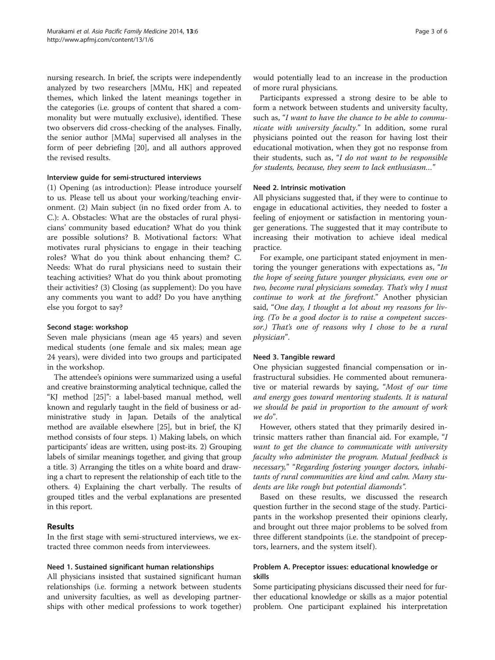nursing research. In brief, the scripts were independently analyzed by two researchers [MMu, HK] and repeated themes, which linked the latent meanings together in the categories (i.e. groups of content that shared a commonality but were mutually exclusive), identified. These two observers did cross-checking of the analyses. Finally, the senior author [MMa] supervised all analyses in the form of peer debriefing [\[20](#page-5-0)], and all authors approved the revised results.

#### Interview guide for semi-structured interviews

(1) Opening (as introduction): Please introduce yourself to us. Please tell us about your working/teaching environment. (2) Main subject (in no fixed order from A. to C.): A. Obstacles: What are the obstacles of rural physicians' community based education? What do you think are possible solutions? B. Motivational factors: What motivates rural physicians to engage in their teaching roles? What do you think about enhancing them? C. Needs: What do rural physicians need to sustain their teaching activities? What do you think about promoting their activities? (3) Closing (as supplement): Do you have any comments you want to add? Do you have anything else you forgot to say?

#### Second stage: workshop

Seven male physicians (mean age 45 years) and seven medical students (one female and six males; mean age 24 years), were divided into two groups and participated in the workshop.

The attendee's opinions were summarized using a useful and creative brainstorming analytical technique, called the "KJ method [\[25\]](#page-5-0)": a label-based manual method, well known and regularly taught in the field of business or administrative study in Japan. Details of the analytical method are available elsewhere [\[25\]](#page-5-0), but in brief, the KJ method consists of four steps. 1) Making labels, on which participants' ideas are written, using post-its. 2) Grouping labels of similar meanings together, and giving that group a title. 3) Arranging the titles on a white board and drawing a chart to represent the relationship of each title to the others. 4) Explaining the chart verbally. The results of grouped titles and the verbal explanations are presented in this report.

## Results

In the first stage with semi-structured interviews, we extracted three common needs from interviewees.

#### Need 1. Sustained significant human relationships

All physicians insisted that sustained significant human relationships (i.e. forming a network between students and university faculties, as well as developing partnerships with other medical professions to work together) would potentially lead to an increase in the production of more rural physicians.

Participants expressed a strong desire to be able to form a network between students and university faculty, such as, "I want to have the chance to be able to communicate with university faculty." In addition, some rural physicians pointed out the reason for having lost their educational motivation, when they got no response from their students, such as, "I do not want to be responsible for students, because, they seem to lack enthusiasm…"

#### Need 2. Intrinsic motivation

All physicians suggested that, if they were to continue to engage in educational activities, they needed to foster a feeling of enjoyment or satisfaction in mentoring younger generations. The suggested that it may contribute to increasing their motivation to achieve ideal medical practice.

For example, one participant stated enjoyment in mentoring the younger generations with expectations as, "In the hope of seeing future younger physicians, even one or two, become rural physicians someday. That's why I must continue to work at the forefront." Another physician said, "One day, I thought a lot about my reasons for living. (To be a good doctor is to raise a competent successor.) That's one of reasons why I chose to be a rural physician".

#### Need 3. Tangible reward

One physician suggested financial compensation or infrastructural subsidies. He commented about remunerative or material rewards by saying, "Most of our time and energy goes toward mentoring students. It is natural we should be paid in proportion to the amount of work we do".

However, others stated that they primarily desired intrinsic matters rather than financial aid. For example, "I want to get the chance to communicate with university faculty who administer the program. Mutual feedback is necessary," "Regarding fostering younger doctors, inhabitants of rural communities are kind and calm. Many students are like rough but potential diamonds".

Based on these results, we discussed the research question further in the second stage of the study. Participants in the workshop presented their opinions clearly, and brought out three major problems to be solved from three different standpoints (i.e. the standpoint of preceptors, learners, and the system itself ).

## Problem A. Preceptor issues: educational knowledge or skills

Some participating physicians discussed their need for further educational knowledge or skills as a major potential problem. One participant explained his interpretation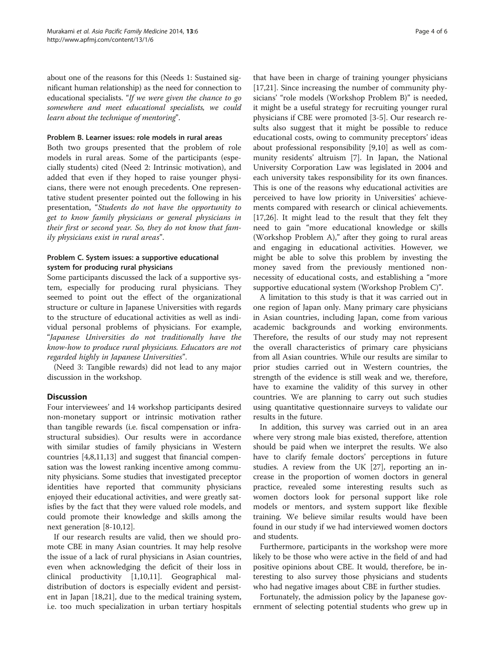about one of the reasons for this (Needs 1: Sustained significant human relationship) as the need for connection to educational specialists. "If we were given the chance to go somewhere and meet educational specialists, we could learn about the technique of mentoring".

#### Problem B. Learner issues: role models in rural areas

Both two groups presented that the problem of role models in rural areas. Some of the participants (especially students) cited (Need 2: Intrinsic motivation), and added that even if they hoped to raise younger physicians, there were not enough precedents. One representative student presenter pointed out the following in his presentation, "Students do not have the opportunity to get to know family physicians or general physicians in their first or second year. So, they do not know that family physicians exist in rural areas".

## Problem C. System issues: a supportive educational system for producing rural physicians

Some participants discussed the lack of a supportive system, especially for producing rural physicians. They seemed to point out the effect of the organizational structure or culture in Japanese Universities with regards to the structure of educational activities as well as individual personal problems of physicians. For example, "Japanese Universities do not traditionally have the know-how to produce rural physicians. Educators are not regarded highly in Japanese Universities".

(Need 3: Tangible rewards) did not lead to any major discussion in the workshop.

## **Discussion**

Four interviewees' and 14 workshop participants desired non-monetary support or intrinsic motivation rather than tangible rewards (i.e. fiscal compensation or infrastructural subsidies). Our results were in accordance with similar studies of family physicians in Western countries [\[4,8,11,13](#page-4-0)] and suggest that financial compensation was the lowest ranking incentive among community physicians. Some studies that investigated preceptor identities have reported that community physicians enjoyed their educational activities, and were greatly satisfies by the fact that they were valued role models, and could promote their knowledge and skills among the next generation [[8-10,12](#page-4-0)].

If our research results are valid, then we should promote CBE in many Asian countries. It may help resolve the issue of a lack of rural physicians in Asian countries, even when acknowledging the deficit of their loss in clinical productivity [[1,10,11\]](#page-4-0). Geographical maldistribution of doctors is especially evident and persistent in Japan [\[18,21](#page-5-0)], due to the medical training system, i.e. too much specialization in urban tertiary hospitals

that have been in charge of training younger physicians [[17,21\]](#page-5-0). Since increasing the number of community physicians' "role models (Workshop Problem B)" is needed, it might be a useful strategy for recruiting younger rural physicians if CBE were promoted [\[3](#page-4-0)-[5\]](#page-4-0). Our research results also suggest that it might be possible to reduce educational costs, owing to community preceptors' ideas about professional responsibility [\[9,10\]](#page-4-0) as well as community residents' altruism [\[7](#page-4-0)]. In Japan, the National University Corporation Law was legislated in 2004 and each university takes responsibility for its own finances. This is one of the reasons why educational activities are perceived to have low priority in Universities' achievements compared with research or clinical achievements. [[17,26\]](#page-5-0). It might lead to the result that they felt they need to gain "more educational knowledge or skills (Workshop Problem A)," after they going to rural areas and engaging in educational activities. However, we might be able to solve this problem by investing the money saved from the previously mentioned nonnecessity of educational costs, and establishing a "more supportive educational system (Workshop Problem C)".

A limitation to this study is that it was carried out in one region of Japan only. Many primary care physicians in Asian countries, including Japan, come from various academic backgrounds and working environments. Therefore, the results of our study may not represent the overall characteristics of primary care physicians from all Asian countries. While our results are similar to prior studies carried out in Western countries, the strength of the evidence is still weak and we, therefore, have to examine the validity of this survey in other countries. We are planning to carry out such studies using quantitative questionnaire surveys to validate our results in the future.

In addition, this survey was carried out in an area where very strong male bias existed, therefore, attention should be paid when we interpret the results. We also have to clarify female doctors' perceptions in future studies. A review from the UK [[27\]](#page-5-0), reporting an increase in the proportion of women doctors in general practice, revealed some interesting results such as women doctors look for personal support like role models or mentors, and system support like flexible training. We believe similar results would have been found in our study if we had interviewed women doctors and students.

Furthermore, participants in the workshop were more likely to be those who were active in the field of and had positive opinions about CBE. It would, therefore, be interesting to also survey those physicians and students who had negative images about CBE in further studies.

Fortunately, the admission policy by the Japanese government of selecting potential students who grew up in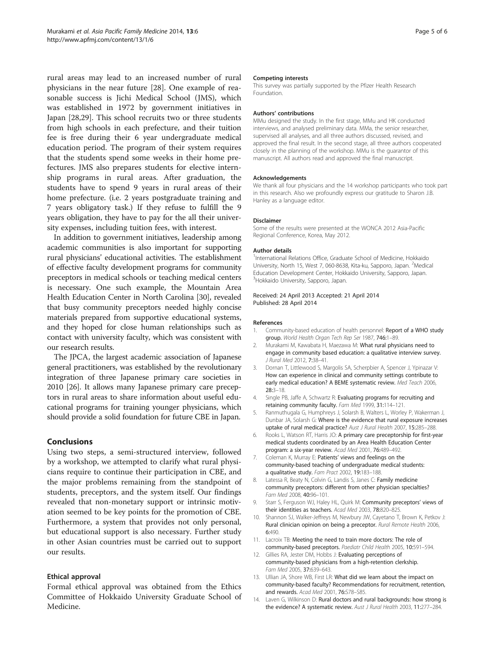<span id="page-4-0"></span>rural areas may lead to an increased number of rural physicians in the near future [\[28](#page-5-0)]. One example of reasonable success is Jichi Medical School (JMS), which was established in 1972 by government initiatives in Japan [[28](#page-5-0),[29](#page-5-0)]. This school recruits two or three students from high schools in each prefecture, and their tuition fee is free during their 6 year undergraduate medical education period. The program of their system requires that the students spend some weeks in their home prefectures. JMS also prepares students for elective internship programs in rural areas. After graduation, the students have to spend 9 years in rural areas of their home prefecture. (i.e. 2 years postgraduate training and 7 years obligatory task.) If they refuse to fulfill the 9 years obligation, they have to pay for the all their university expenses, including tuition fees, with interest.

In addition to government initiatives, leadership among academic communities is also important for supporting rural physicians' educational activities. The establishment of effective faculty development programs for community preceptors in medical schools or teaching medical centers is necessary. One such example, the Mountain Area Health Education Center in North Carolina [[30](#page-5-0)], revealed that busy community preceptors needed highly concise materials prepared from supportive educational systems, and they hoped for close human relationships such as contact with university faculty, which was consistent with our research results.

The JPCA, the largest academic association of Japanese general practitioners, was established by the revolutionary integration of three Japanese primary care societies in 2010 [[26\]](#page-5-0). It allows many Japanese primary care preceptors in rural areas to share information about useful educational programs for training younger physicians, which should provide a solid foundation for future CBE in Japan.

## Conclusions

Using two steps, a semi-structured interview, followed by a workshop, we attempted to clarify what rural physicians require to continue their participation in CBE, and the major problems remaining from the standpoint of students, preceptors, and the system itself. Our findings revealed that non-monetary support or intrinsic motivation seemed to be key points for the promotion of CBE. Furthermore, a system that provides not only personal, but educational support is also necessary. Further study in other Asian countries must be carried out to support our results.

## Ethical approval

Formal ethical approval was obtained from the Ethics Committee of Hokkaido University Graduate School of Medicine.

#### Competing interests

This survey was partially supported by the Pfizer Health Research Foundation.

#### Authors' contributions

MMu designed the study. In the first stage, MMu and HK conducted interviews, and analysed preliminary data. MMa, the senior researcher, supervised all analyses, and all three authors discussed, revised, and approved the final result. In the second stage, all three authors cooperated closely in the planning of the workshop. MMu is the guarantor of this manuscript. All authors read and approved the final manuscript.

#### Acknowledgements

We thank all four physicians and the 14 workshop participants who took part in this research. Also we profoundly express our gratitude to Sharon J.B. Hanley as a language editor.

#### Disclaimer

Some of the results were presented at the WONCA 2012 Asia-Pacific Regional Conference, Korea, May 2012.

#### Author details

<sup>1</sup>International Relations Office, Graduate School of Medicine, Hokkaido University, North 15, West 7, 060-8638, Kita-ku, Sapporo, Japan. <sup>2</sup>Medical Education Development Center, Hokkaido University, Sapporo, Japan. 3 Hokkaido University, Sapporo, Japan.

#### Received: 24 April 2013 Accepted: 21 April 2014 Published: 28 April 2014

#### References

- 1. Community-based education of health personnel: Report of a WHO study group. World Health Organ Tech Rep Ser 1987, 746:1–89.
- 2. Murakami M, Kawabata H, Maezawa M: What rural physicians need to engage in community based education: a qualitative interview survey. J Rural Med 2012, 7:38–41.
- 3. Dornan T, Littlewood S, Margolis SA, Scherpbier A, Spencer J, Ypinazar V: How can experience in clinical and community settings contribute to early medical education? A BEME systematic review. Med Teach 2006, 28:3–18.
- 4. Single PB, Jaffe A, Schwartz R: Evaluating programs for recruiting and retaining community faculty. Fam Med 1999, 31:114–121.
- 5. Ranmuthugala G, Humphreys J, Solarsh B, Walters L, Worley P, Wakerman J, Dunbar JA, Solarsh G: Where is the evidence that rural exposure increases uptake of rural medical practice? Aust J Rural Health 2007, 15:285-288.
- 6. Rooks L, Watson RT, Harris JO: A primary care preceptorship for first-year medical students coordinated by an Area Health Education Center program: a six-year review. Acad Med 2001, 76:489–492.
- 7. Coleman K, Murray E: Patients' views and feelings on the community-based teaching of undergraduate medical students: a qualitative study. Fam Pract 2002, 19:183–188.
- 8. Latessa R, Beaty N, Colvin G, Landis S, Janes C: Family medicine community preceptors: different from other physician specialties? Fam Med 2008, 40:96–101.
- 9. Starr S, Ferguson WJ, Haley HL, Quirk M: Community preceptors' views of their identities as teachers. Acad Med 2003, 78:820–825.
- 10. Shannon SJ, Walker-Jeffreys M, Newbury JW, Cayetano T, Brown K, Petkov J: Rural clinician opinion on being a preceptor. Rural Remote Health 2006, 6:490.
- 11. Lacroix TB: Meeting the need to train more doctors: The role of community-based preceptors. Paediatr Child Health 2005, 10:591–594.
- 12. Gillies RA, Jester DM, Hobbs J: Evaluating perceptions of community-based physicians from a high-retention clerkship. Fam Med 2005, 37:639–643.
- 13. Ullian JA, Shore WB, First LR: What did we learn about the impact on community-based faculty? Recommendations for recruitment, retention, and rewards. Acad Med 2001, 76:S78–S85.
- 14. Laven G, Wilkinson D: Rural doctors and rural backgrounds: how strong is the evidence? A systematic review. Aust J Rural Health 2003, 11:277–284.